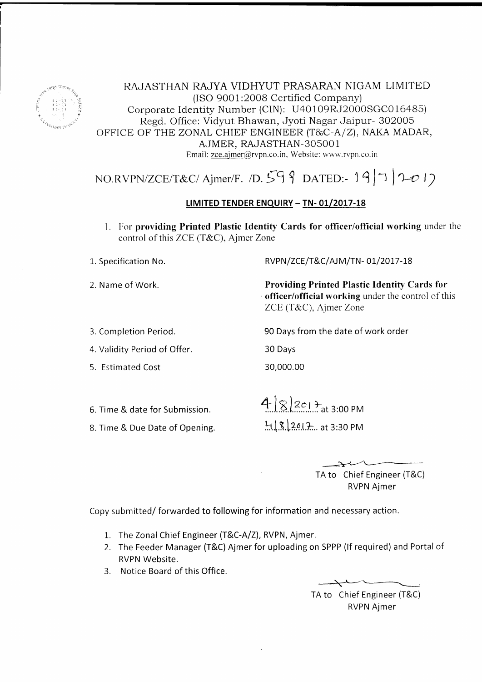

RAJASTHAN RAJYA VIDHYUT PRASARAN NIGAM LIMITED (ISO 9001:2008 Certified Company) Corporate Identity Number (CIN): U40109RJ2000SGC016485) Regd. Office: Vidyut Bhawan, Jyoti Nagar Jaipur- 302005 OFFICE OF THE ZONAL CHIEF ENGINEER (T&C-A/Z), NAKA MADAR, AJMER, RAJASTHAN-305001 Email: zce.ajmer@rvpn.co.in, Website: www.rvpn.co.in

# NO.RVPN/ZCE/T&C/Ajmer/F. /D.  $59$  9 DATED:- 19/7 | 2017

### LIMITED TENDER ENQUIRY - TN-01/2017-18

1. For providing Printed Plastic Identity Cards for officer/official working under the control of this ZCE (T&C), Ajmer Zone

1. Specification No.

2. Name of Work.

RVPN/ZCE/T&C/AJM/TN-01/2017-18

90 Days from the date of work order

**Providing Printed Plastic Identity Cards for** officer/official working under the control of this ZCE (T&C), Ajmer Zone

3. Completion Period.

4. Validity Period of Offer.

5. Estimated Cost

30,000.00

30 Days

- 6. Time & date for Submission.
- 8. Time & Due Date of Opening.

 $482013$  at 3:00 PM  $4182017...$  at 3:30 PM

> TA to Chief Engineer (T&C) **RVPN Ajmer**

Copy submitted/forwarded to following for information and necessary action.

- 1. The Zonal Chief Engineer (T&C-A/Z), RVPN, Ajmer.
- 2. The Feeder Manager (T&C) Aimer for uploading on SPPP (If required) and Portal of RVPN Website.
- 3. Notice Board of this Office.

TA to Chief Engineer (T&C) **RVPN Ajmer**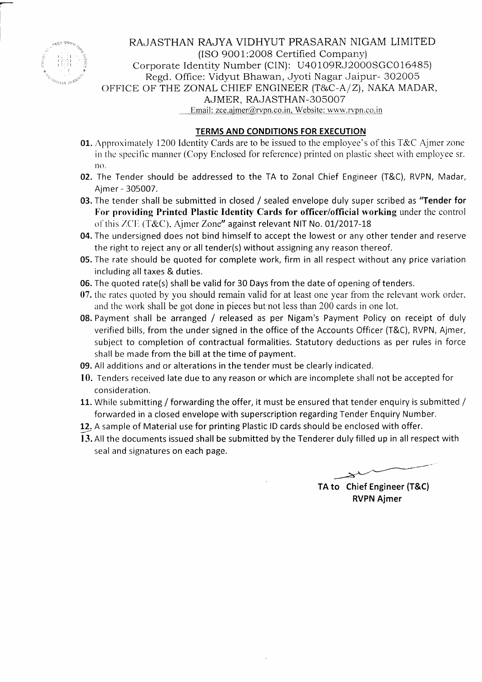

-

RAJASTHAN RAJYA VIDHYUT PRASARAN NIGAM LIMITED (ISO 9001:2008 Certified Company) Corporate Identity Number (CIN): U4O 1O9RJ2000SGC0 16485) Regd. Office: Vidyut Bhawan, Jyoti Nagar Jaipur- 302005 OFFICE OF THE ZONAL CHIEF ENGINEER  $(T&C-A/Z)$ , NAKA MADAR, AJMER, RAJASTHAN-3OsOO7 Email: zce.ajmer@rvpn.co.in. Website: www.rvpn.co.in

### TERMS AND CONDITIONS FOR EXECUTION

- **01.** Approximately 1200 Identity Cards are to be issued to the employee's of this T&C Ajmer zone in the specific manner (Copy Enclosed for reference) printed on plastic sheet with employee sr. no.
- 02. The Tender should be addressed to the TA to Zonal Chief Engineer (T&C), RVPN, Madar, Ajmer - 305007.
- 03. The tender shall be submitted in closed / sealed envelope duly super scribed as "Tender for For providing Printed Plastic Identity Cards for officer/official working under the control of this ZCE (T&C), Ajmer Zone" against relevant NIT No. 01/2017-18
- 04. The undersigned does not bind himself to accept the lowest or any other tender and reserve the right to reject any or all tender(s) without assigning any reason thereof.
- 05. The rate should be quoted for complete work, firm in all respect without any price variation including all taxes & duties.
- 06. The quoted rate(s) shall be valid for 30 Days from the date of opening of tenders.
- 07. the rates quoted by you should remain valid for at least one year from the relevant work order. and the work shall be got done in pieces but'not less than 200 cards in one lot.
- 08. Payment shall be arranged / released as per Nigam's Payment Policy on receipt of duly verified bills, from the under signed in the office of the Accounts Officer (T&C), RVPN, Ajmer, subject to completion of contractual formalities. Statutory deductions as per rules in force shall be made from the bill at the time of payment.
- 09. All additions and or alterations in the tender must be clearly indicated.
- 10. Tenders received late due to any reason or which are incomplete shall not be accepted for consideration.
- 11. While submitting / forwarding the offer, it must be ensured that tender enquiry is submitted / forwarded in a closed envelope with superscription regarding Tender Enquiry Number.
- 12. A sample of Material use for printing Plastic ID cards should be enclosed with offer.
- 13. All the documents issued shall be submitted by the Tenderer duly filled up in all respect with seal and signatures on each page.

TA to Chief Engineer (T&C) RVPN Ajmer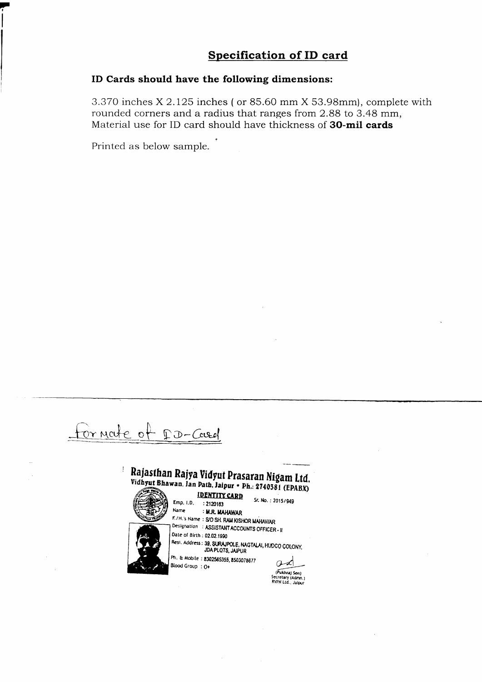### **Specification of ID card**

### ID Cards should have the following dimensions:

3.370 inches X 2.125 inches (or 85.60 mm X 53.98mm), complete with rounded corners and a radius that ranges from 2.88 to 3.48 mm, Material use for ID card should have thickness of 30-mil cards

Printed as below sample.

Fornate of DD-Casel

## Rajasthan Rajya Vidyut Prasaran Nigam Ltd. Vidhyut Bhawan, Jan Path, Jaipur • Ph.: 2740381 (EPABX)

**IDENTITY CARD** 

Blood Group : O+

Emp. I.D. : 2120163 Name : M.R. MAHAWAR F./H.'s Name: S/O SH, RAM KISHOR MAHAWAR Designation : ASSISTANT ACCOUNTS OFFICER - II Date of Birth : 02.02.1990 Resi. Address: 39. SURAJPOLE, NAGTALAI, HUDCO COLONY. **JDA PLOTS, JAIPUR** Ph. & Mobile: 8302565355, 8503078677

 $od$ 

Sr. No.: 2015/949

(Pukhraj Sen)<br>Secretary (Admn.)<br>RVPN Ltd., Jaipur